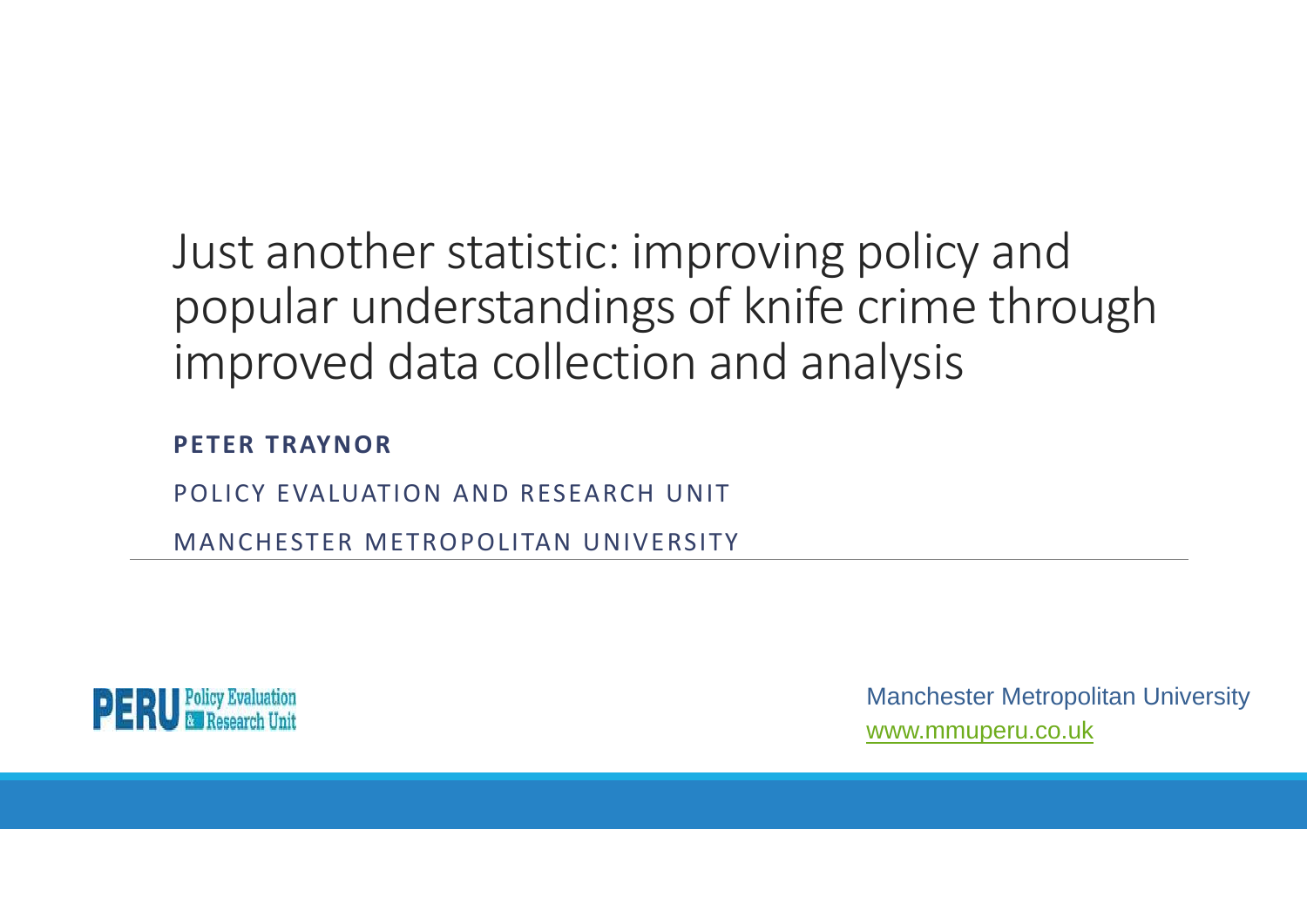### Just another statistic: improving policy and popular understandings of knife crime through improved data collection and analysis

**PETER TRAYNOR**

POLICY EVALUATION AND RESEARCH UNIT

MANCHESTER METROPOLITAN UNIVERSITY



Manchester Metropolitan University www.mmuperu.co.uk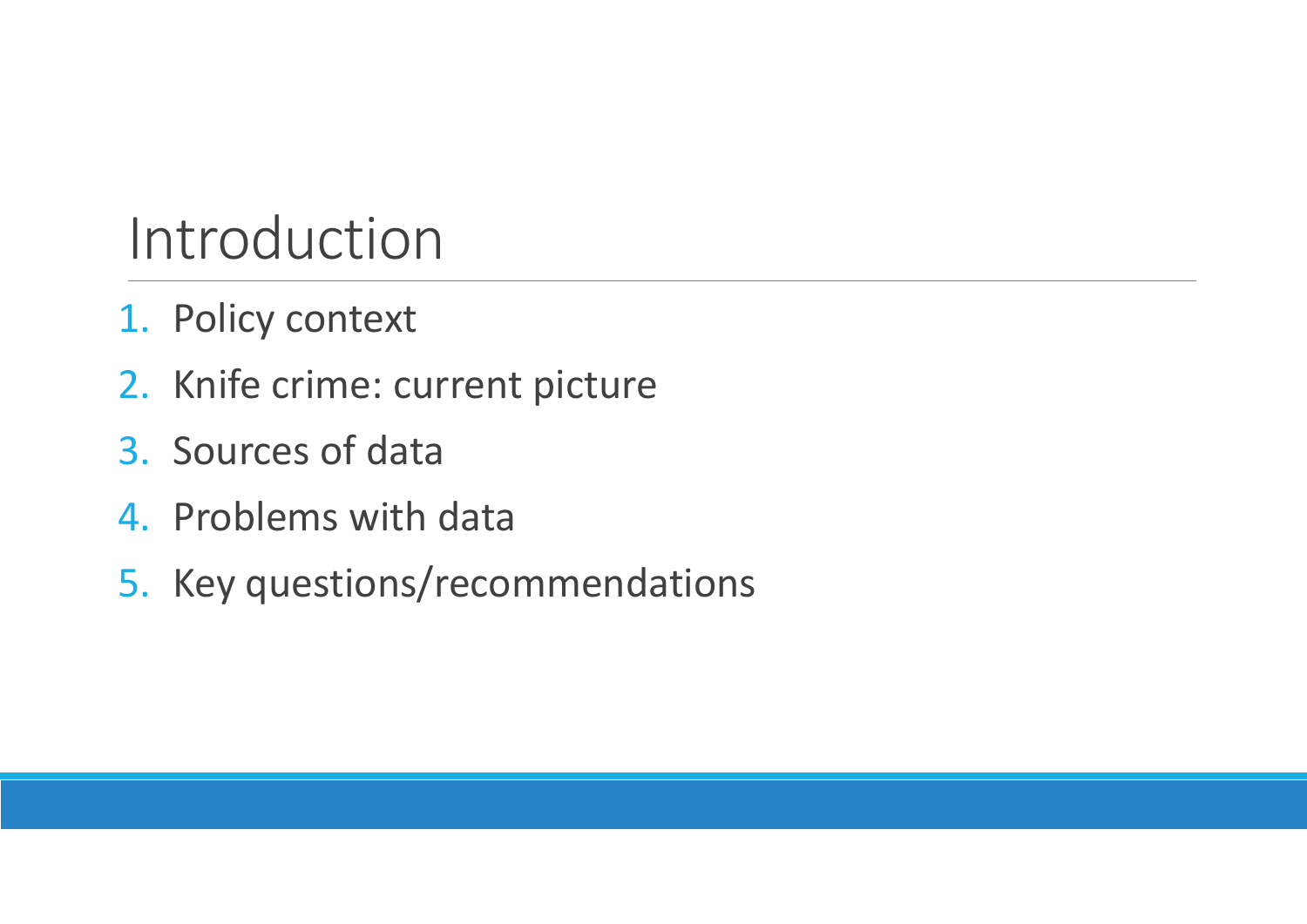### Introduction

- 1. Policy context
- 2. Knife crime: current picture
- 3. Sources of data
- 4. Problems with data
- 5. Key questions/recommendations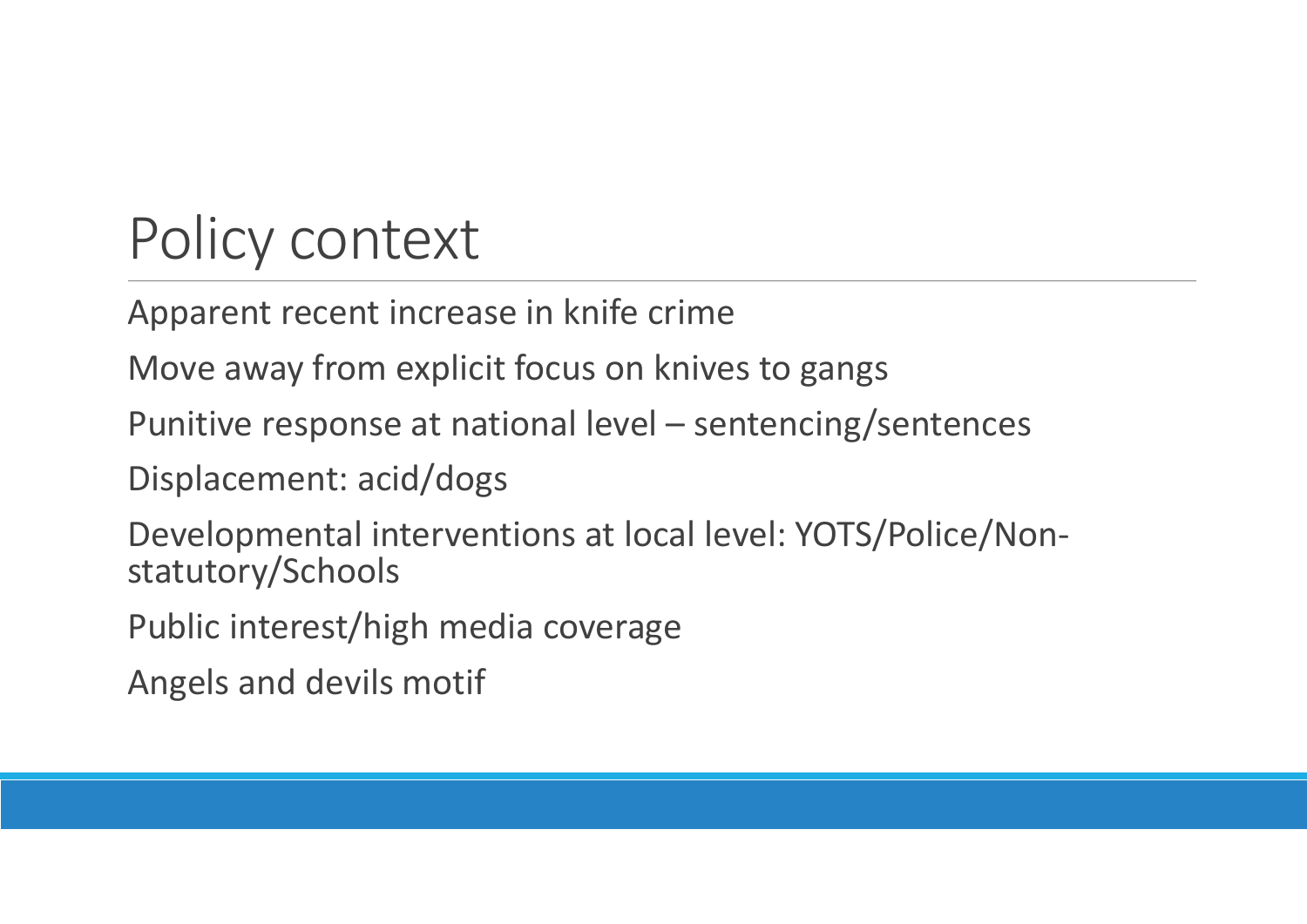# Policy context

Apparent recent increase in knife crime

Move away from explicit focus on knives to gangs

Punitive response at national level – sentencing/sentences

Displacement: acid/dogs

Developmental interventions at local level: YOTS/Police/Non‐ statutory/Schools

Public interest/high media coverage

Angels and devils motif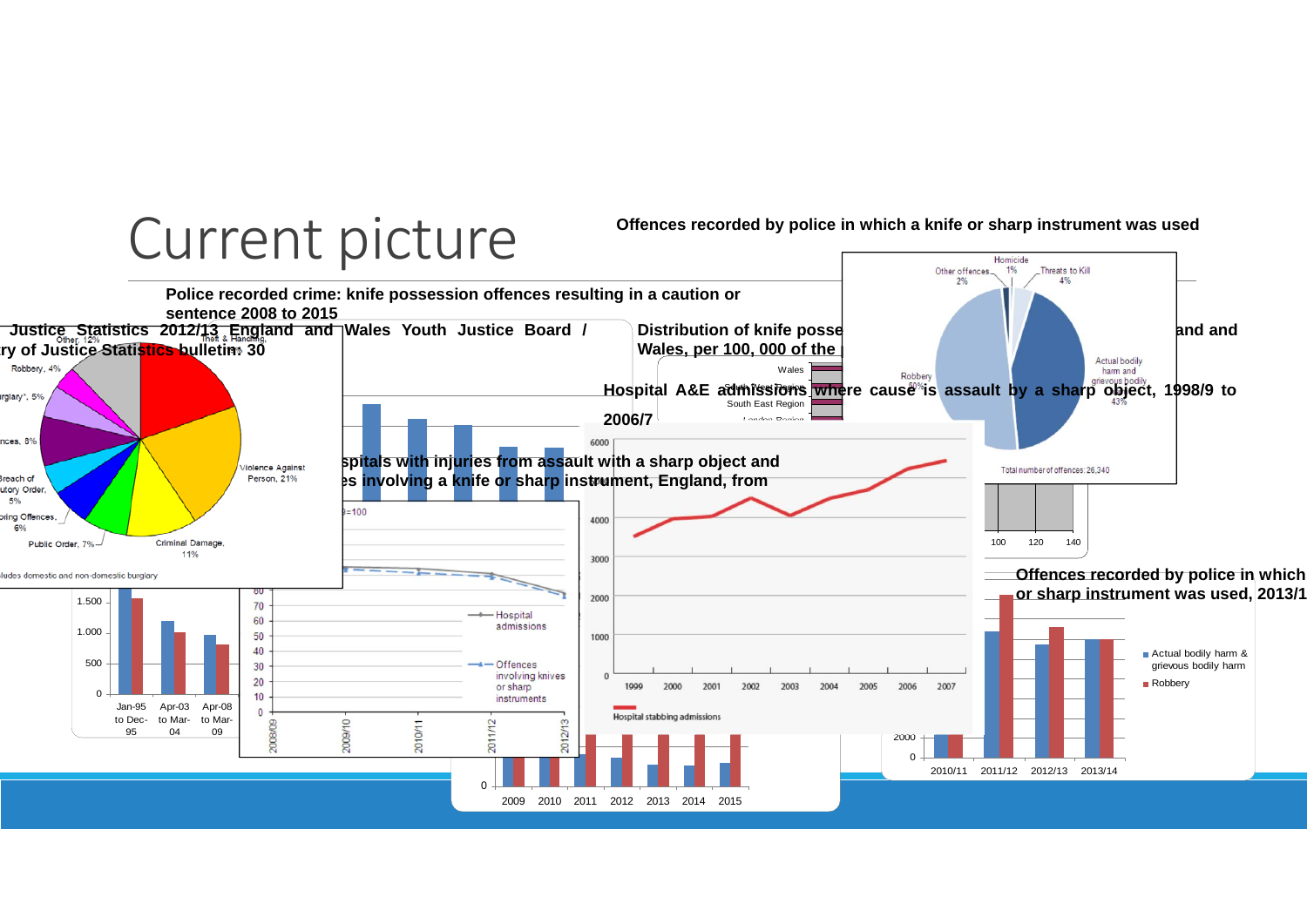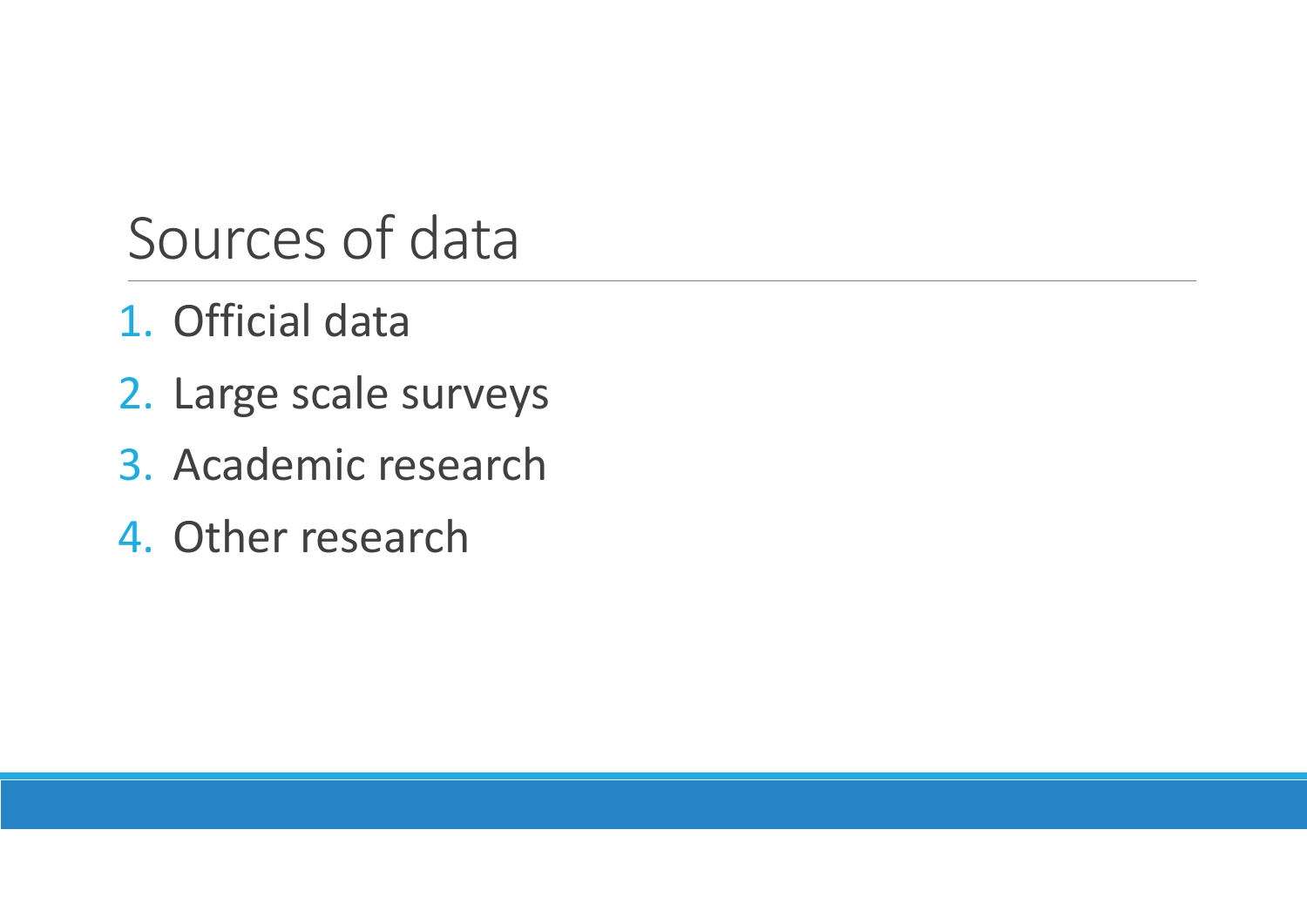## Sources of data

- 1. Official data
- 2. Large scale surveys
- 3. Academic research
- 4. Other research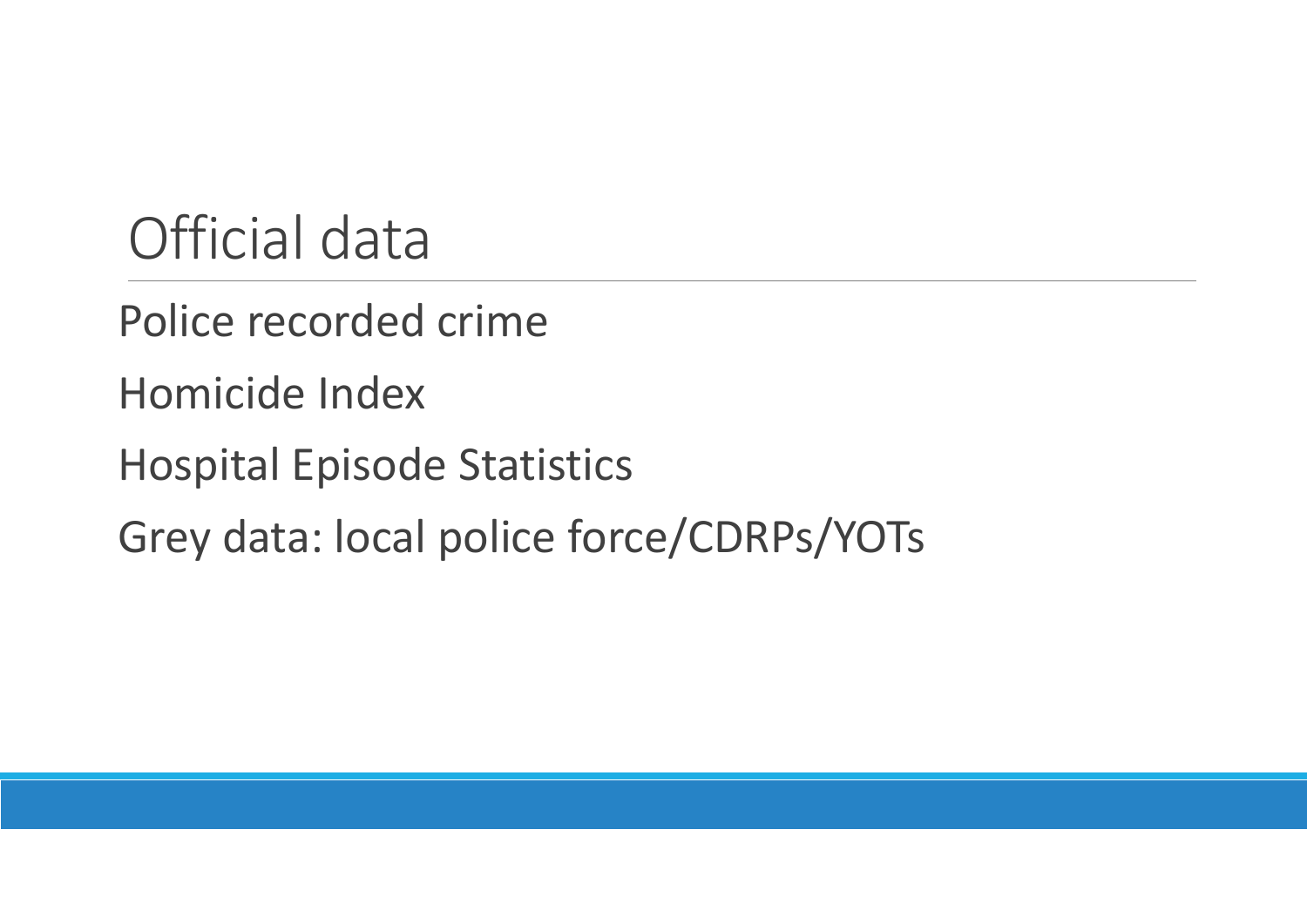### Official data

Police recorded crime

Homicide Index

Hospital Episode Statistics

Grey data: local police force/CDRPs/YOTs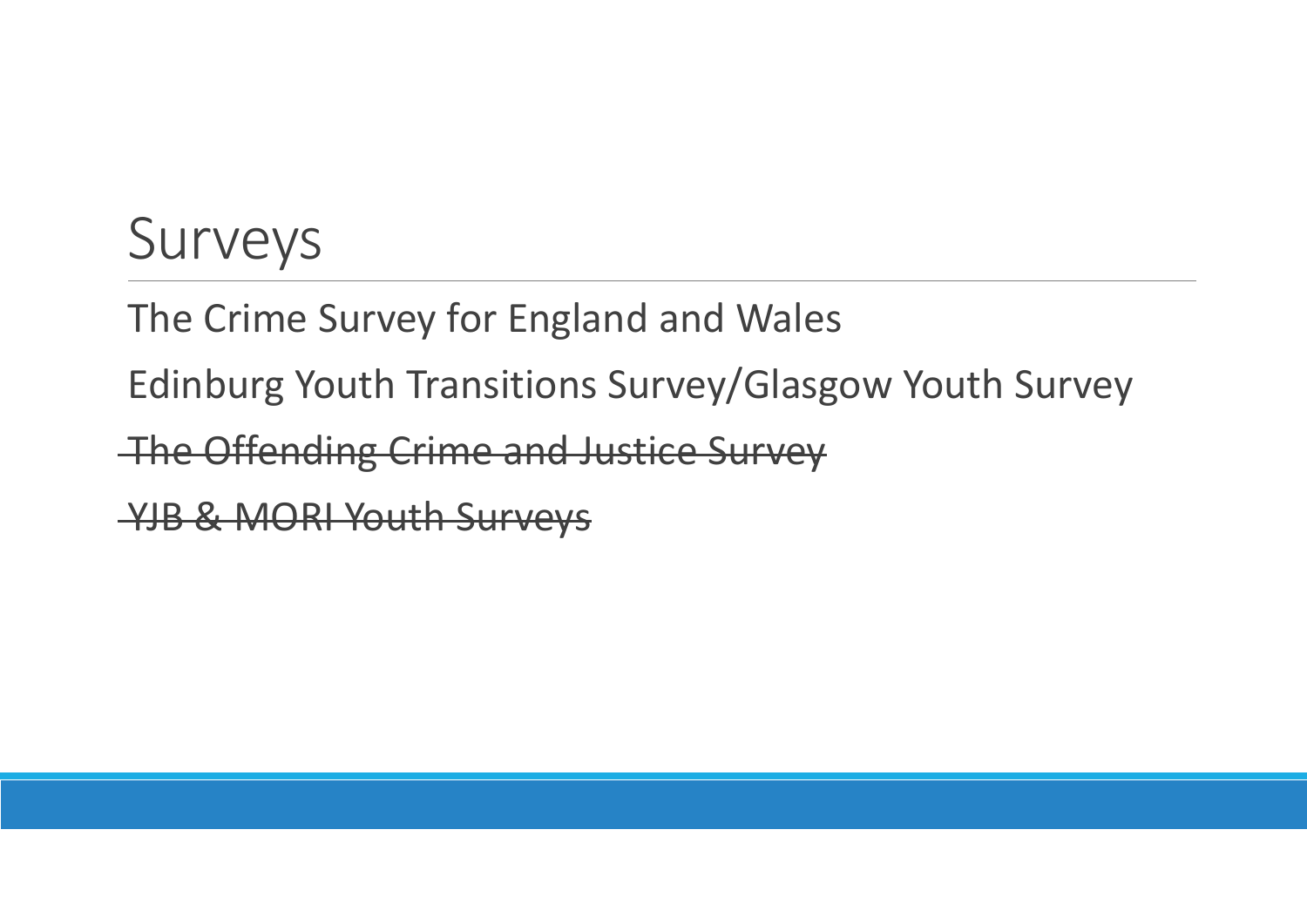### Surveys

The Crime Survey for England and Wales

Edinburg Youth Transitions Survey/Glasgow Youth Survey

The Offending Crime and Justice Survey

YJB & MORI Youth Surveys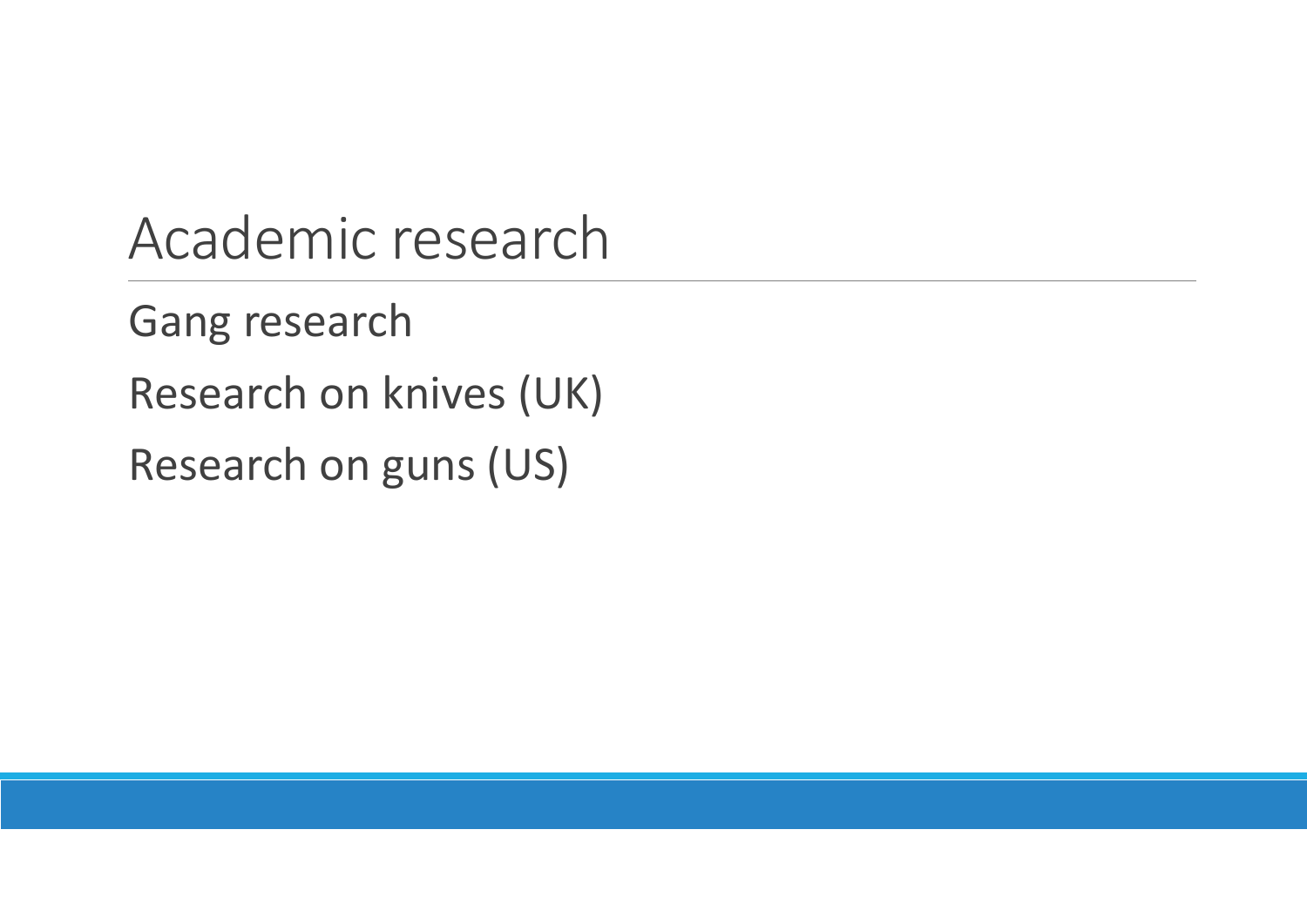Academic research

Gang research

Research on knives (UK)

Research on guns (US)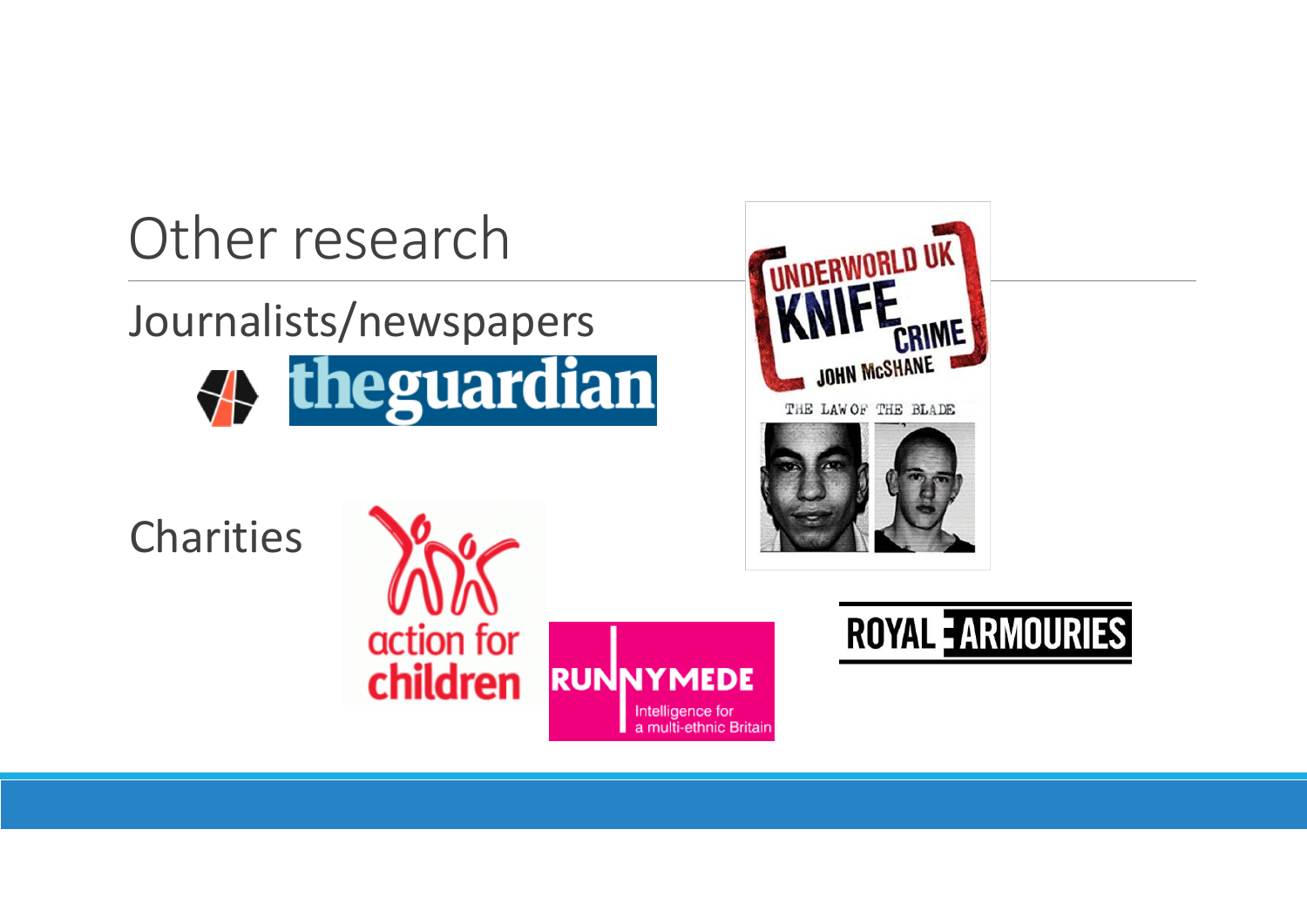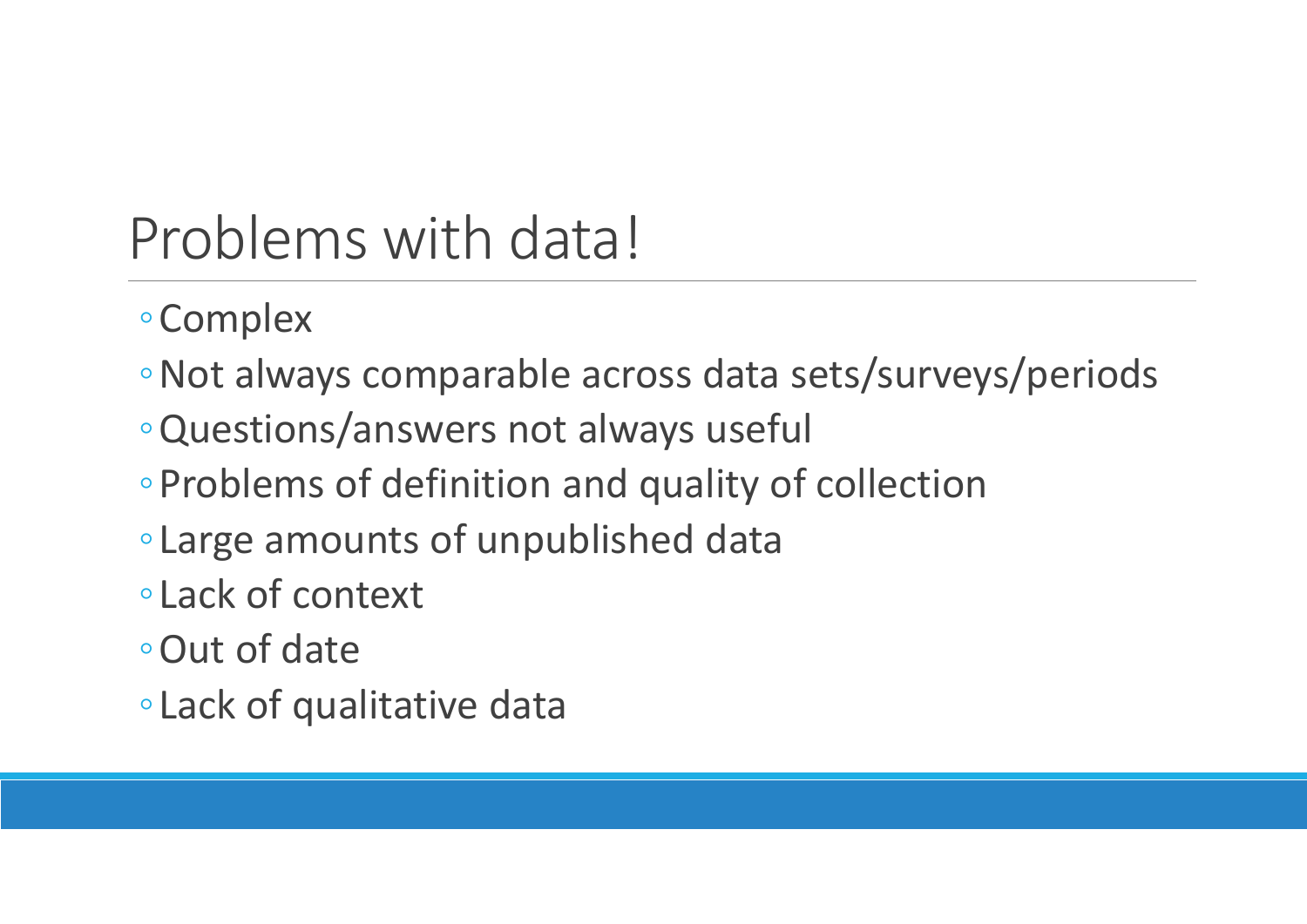# Problems with data!

- ◦Complex
- ◦Not always comparable across data sets/surveys/periods
- ◦Questions/answers not always useful
- ◦Problems of definition and quality of collection
- ◦Large amounts of unpublished data
- ◦Lack of context
- ◦Out of date
- ◦Lack of qualitative data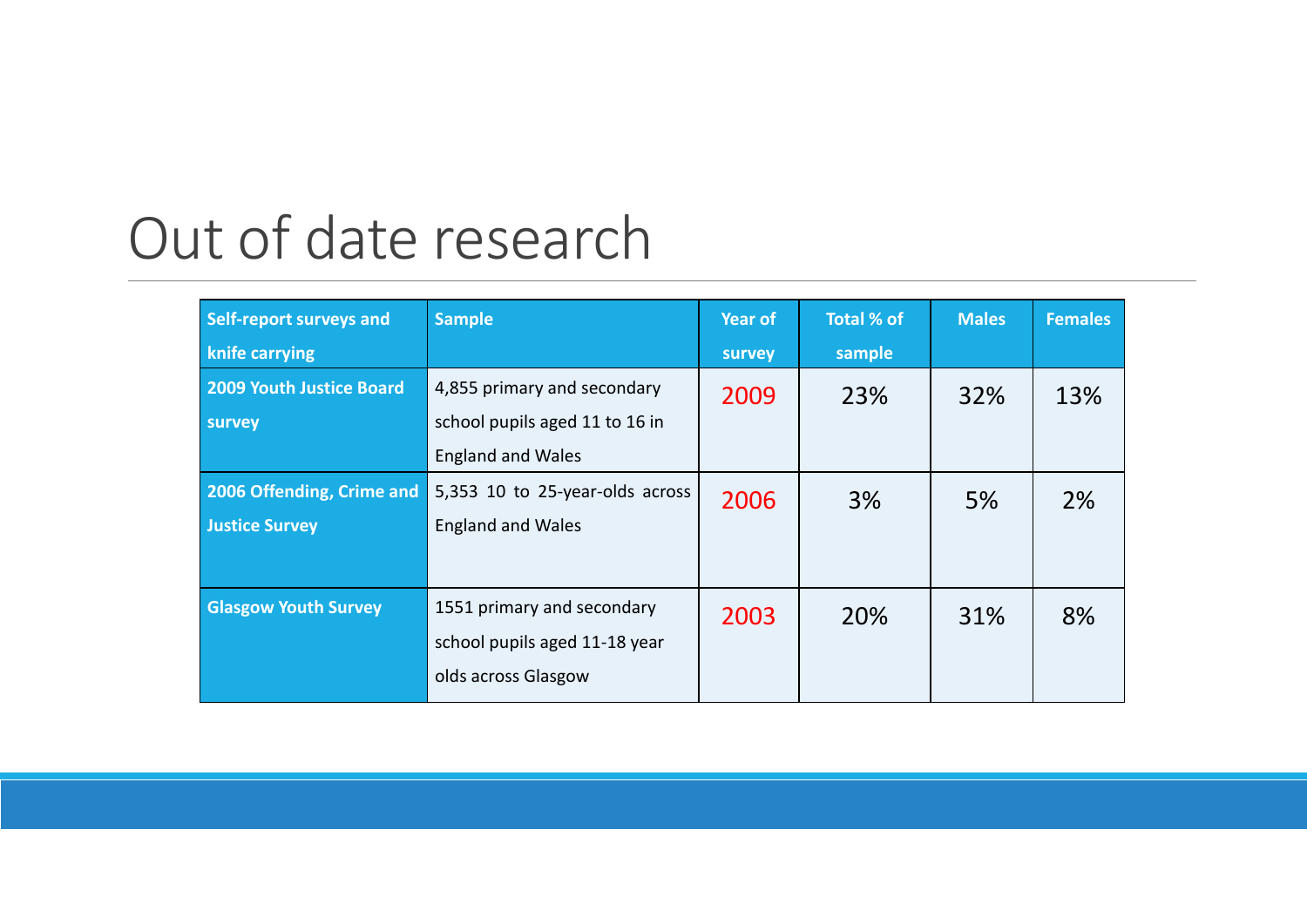### Out of date research

| Self-report surveys and         | <b>Sample</b>                   | <b>Year of</b> | Total % of | <b>Males</b> | <b>Females</b> |
|---------------------------------|---------------------------------|----------------|------------|--------------|----------------|
| knife carrying                  |                                 | survey         | sample     |              |                |
| <b>2009 Youth Justice Board</b> | 4,855 primary and secondary     | 2009           | 23%        | 32%          | 13%            |
| survey                          | school pupils aged 11 to 16 in  |                |            |              |                |
|                                 | <b>England and Wales</b>        |                |            |              |                |
| 2006 Offending, Crime and       | 5,353 10 to 25-year-olds across | 2006           | 3%         | 5%           | 2%             |
| <b>Justice Survey</b>           | <b>England and Wales</b>        |                |            |              |                |
|                                 |                                 |                |            |              |                |
| <b>Glasgow Youth Survey</b>     | 1551 primary and secondary      | 2003           | 20%        | 31%          | 8%             |
|                                 | school pupils aged 11-18 year   |                |            |              |                |
|                                 | olds across Glasgow             |                |            |              |                |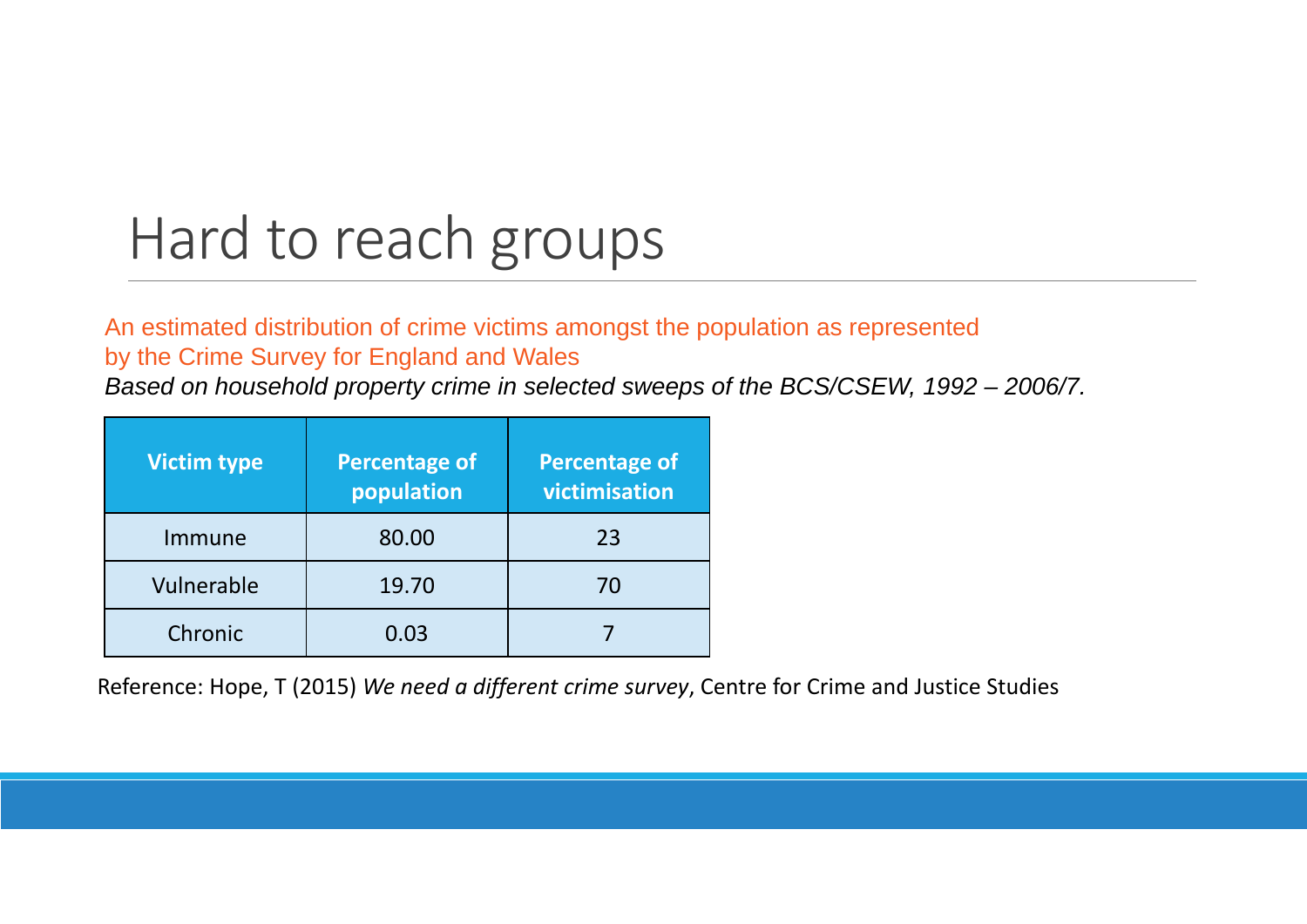# Hard to reach groups

#### An estimated distribution of crime victims amongst the population as represented by the Crime Survey for England and Wales

*Based on household property crime in selected sweeps of the BCS/CSEW, 1992 – 2006/7.* 

| <b>Victim type</b> | <b>Percentage of</b><br>population | <b>Percentage of</b><br>victimisation |
|--------------------|------------------------------------|---------------------------------------|
| Immune             | 80.00                              | 23                                    |
| Vulnerable         | 19.70                              | 70                                    |
| Chronic            | 0.03                               |                                       |

Reference: Hope, T (2015) *We need <sup>a</sup> different crime survey*, Centre for Crime and Justice Studies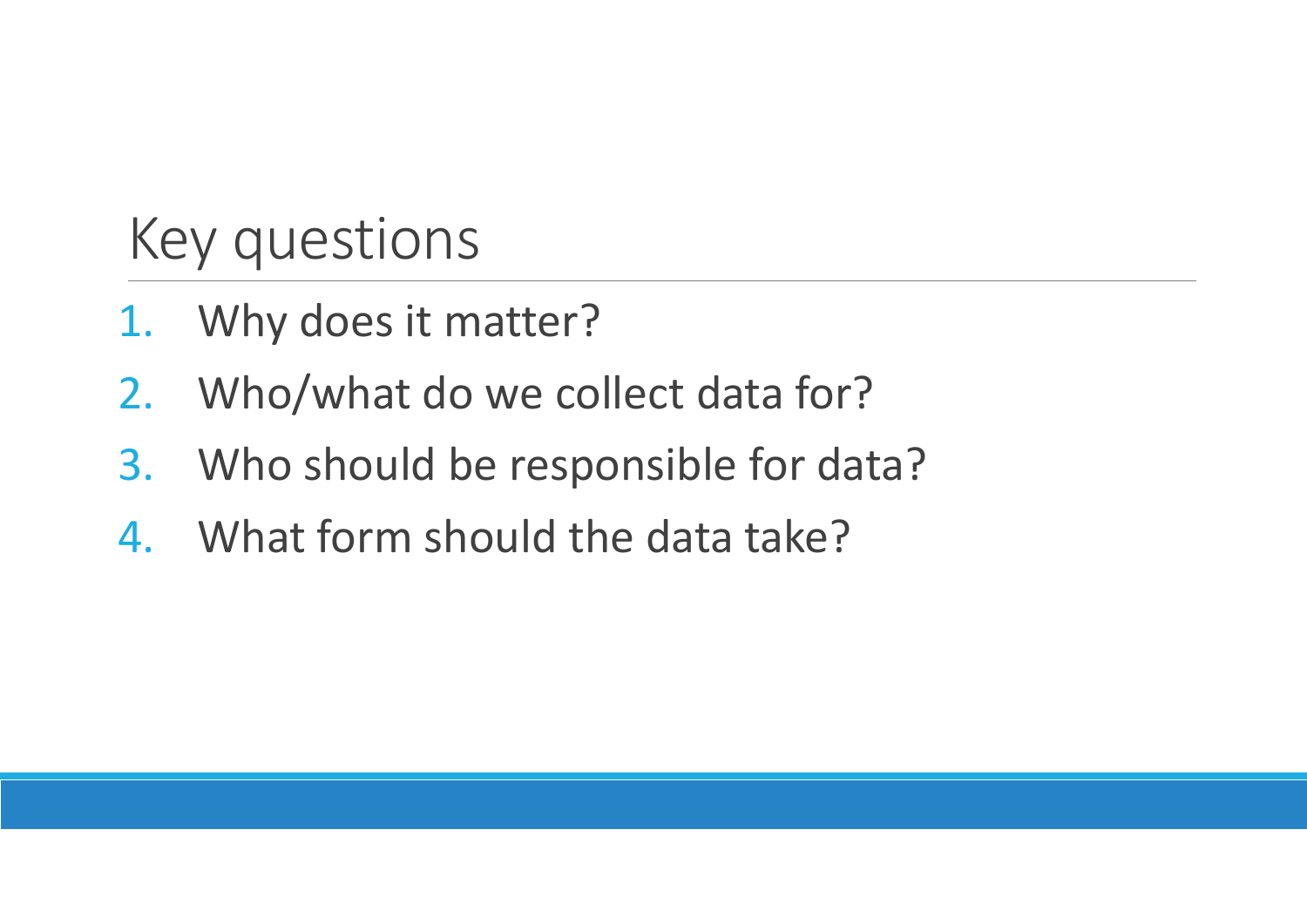## Key questions

- 1. Why does it matter?
- 2.Who/what do we collect data for?
- 3. Who should be responsible for data?
- 4. What form should the data take?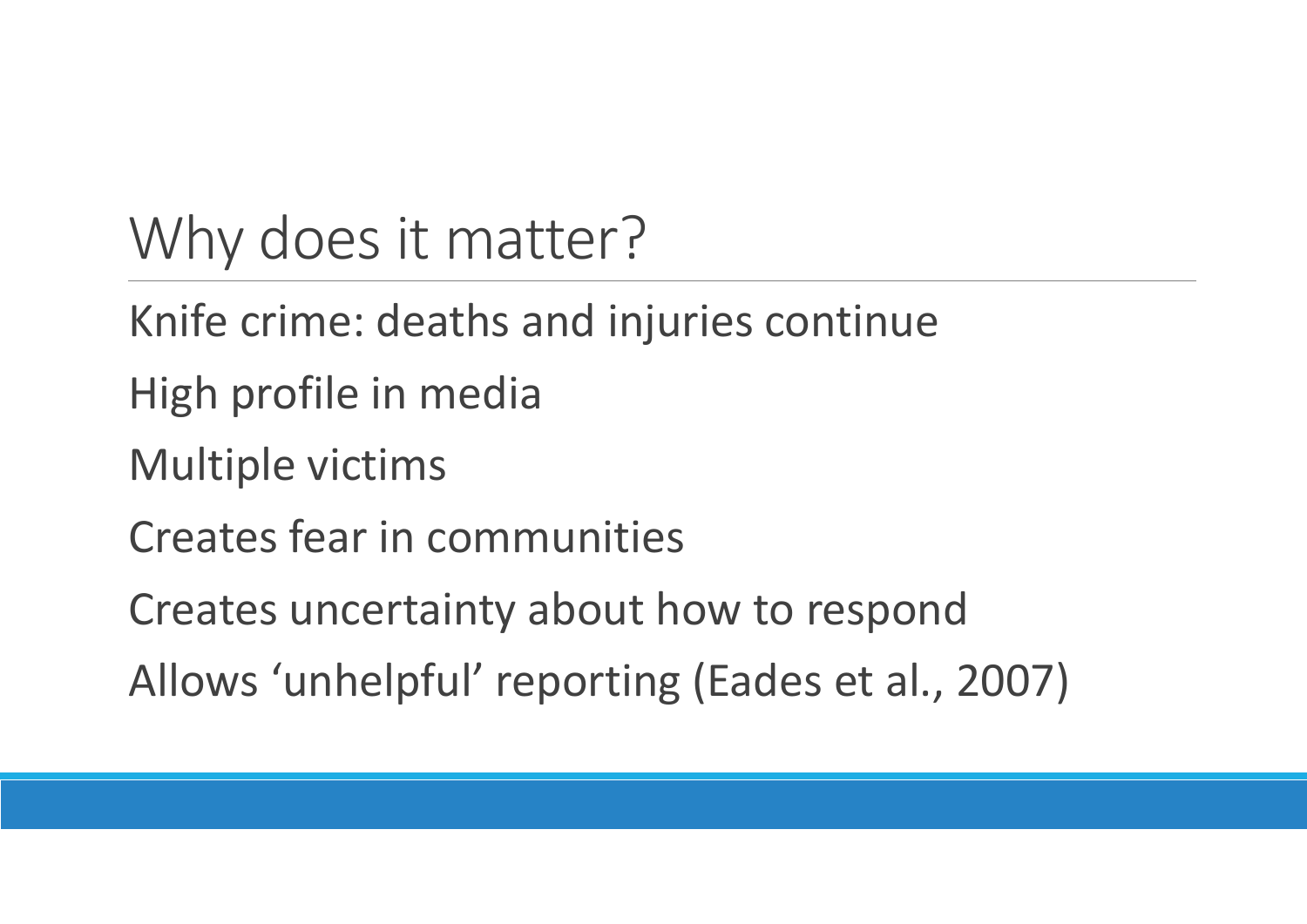# Why does it matter?

- Knife crime: deaths and injuries continue
- High profile in media
- Multiple victims
- Creates fear in communities
- Creates uncertainty about how to respond
- Allows 'unhelpful' reporting (Eades et al., 2007)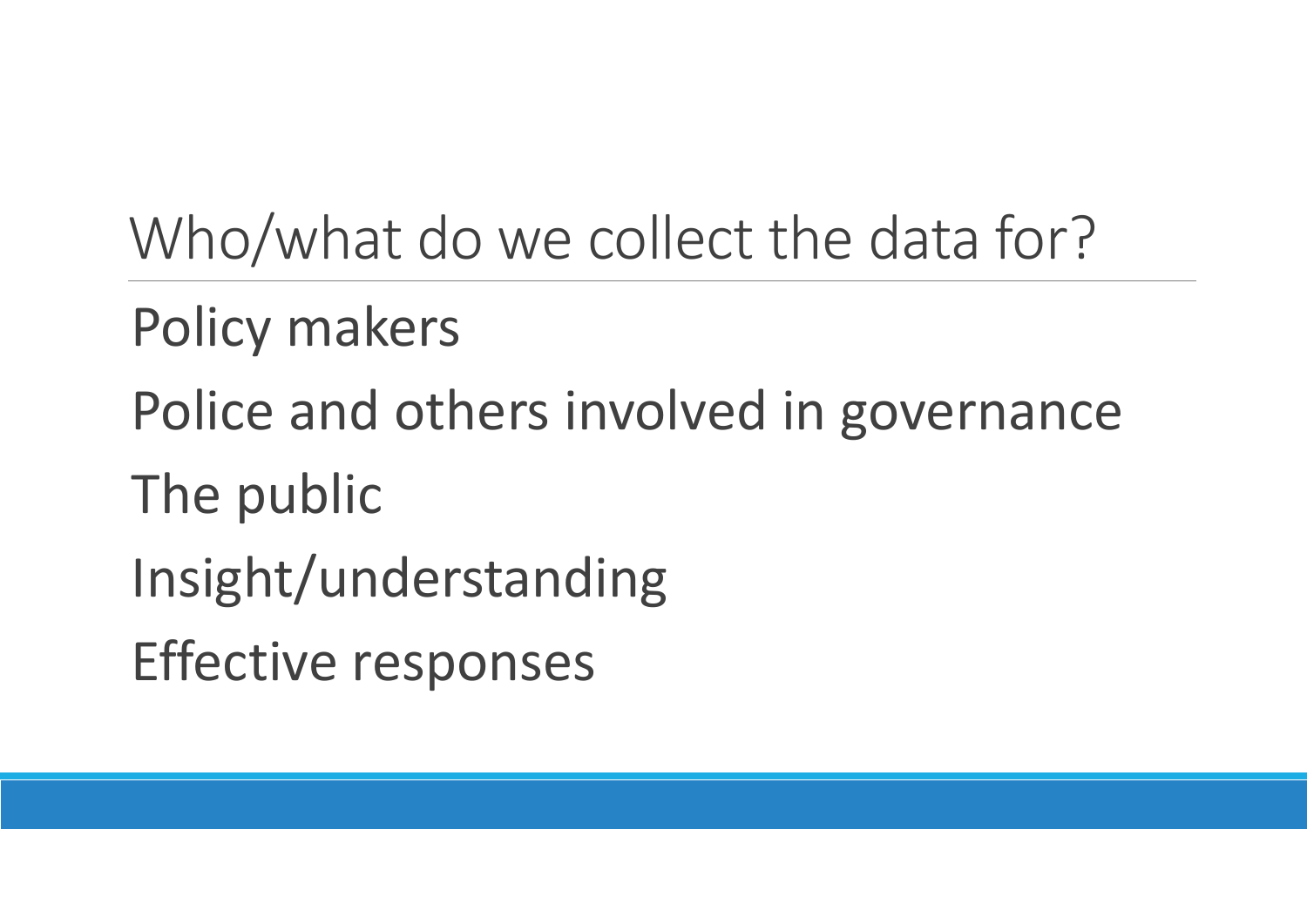Who/what do we collect the data for?

Policy makers

Police and others involved in governance

The public

Insight/understanding

Effective responses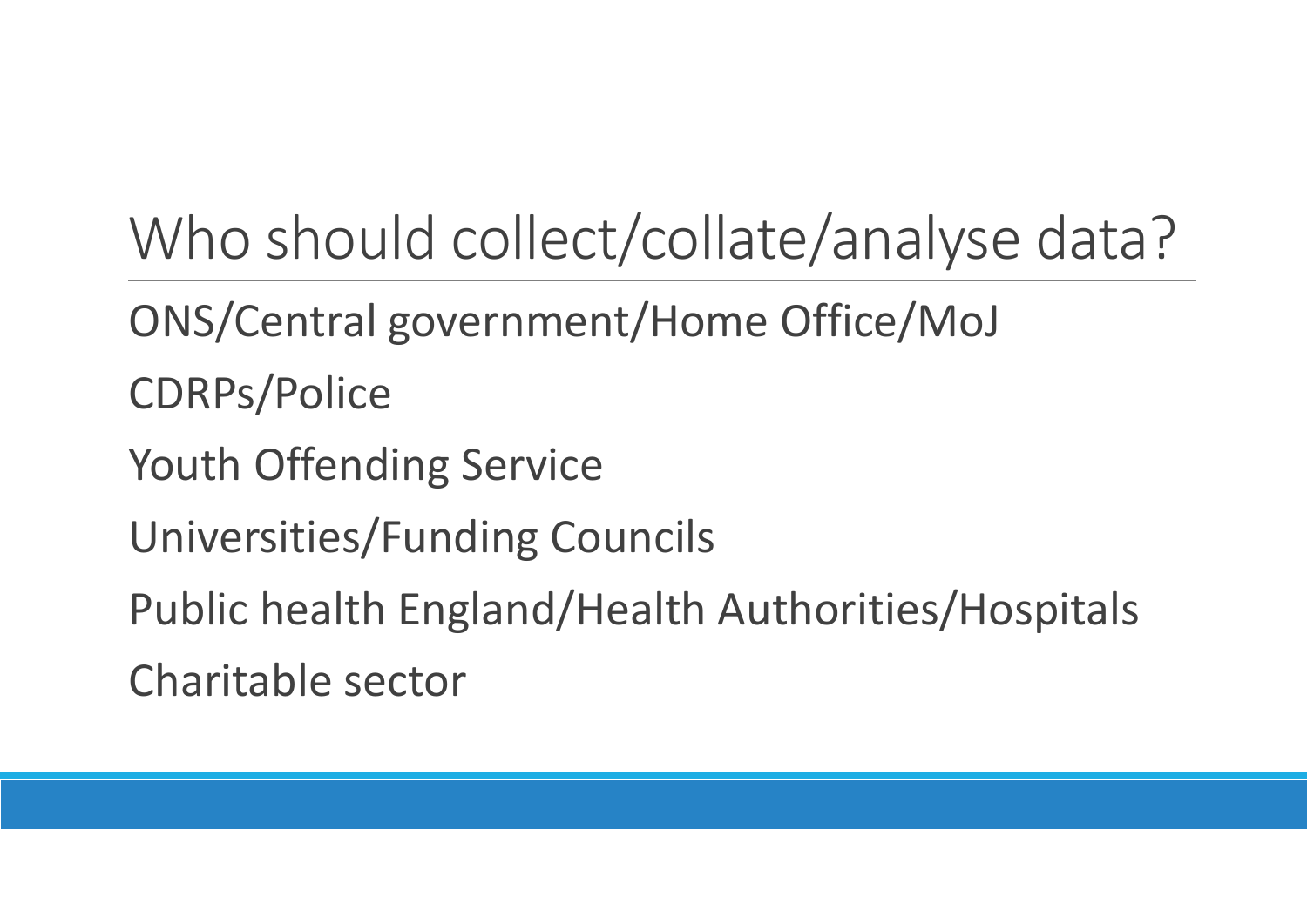# Who should collect/collate/analyse data?

- ONS/Central government/Home Office/MoJ
- CDRPs/Police
- Youth Offending Service
- Universities/Funding Councils
- Public health England/Health Authorities/Hospitals

Charitable sector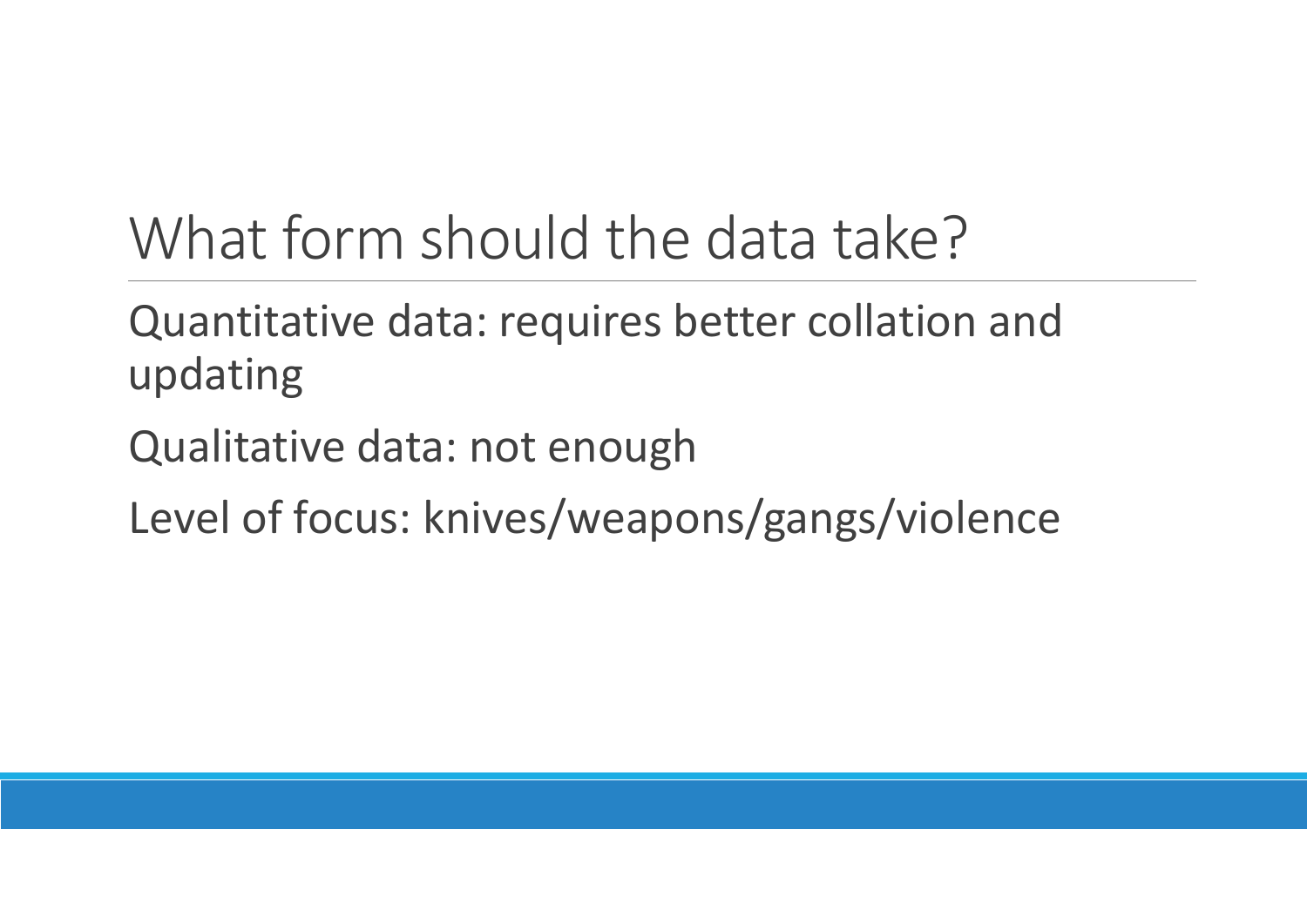## What form should the data take?

### Quantitative data: requires better collation and updating

Qualitative data: not enough

Level of focus: knives/weapons/gangs/violence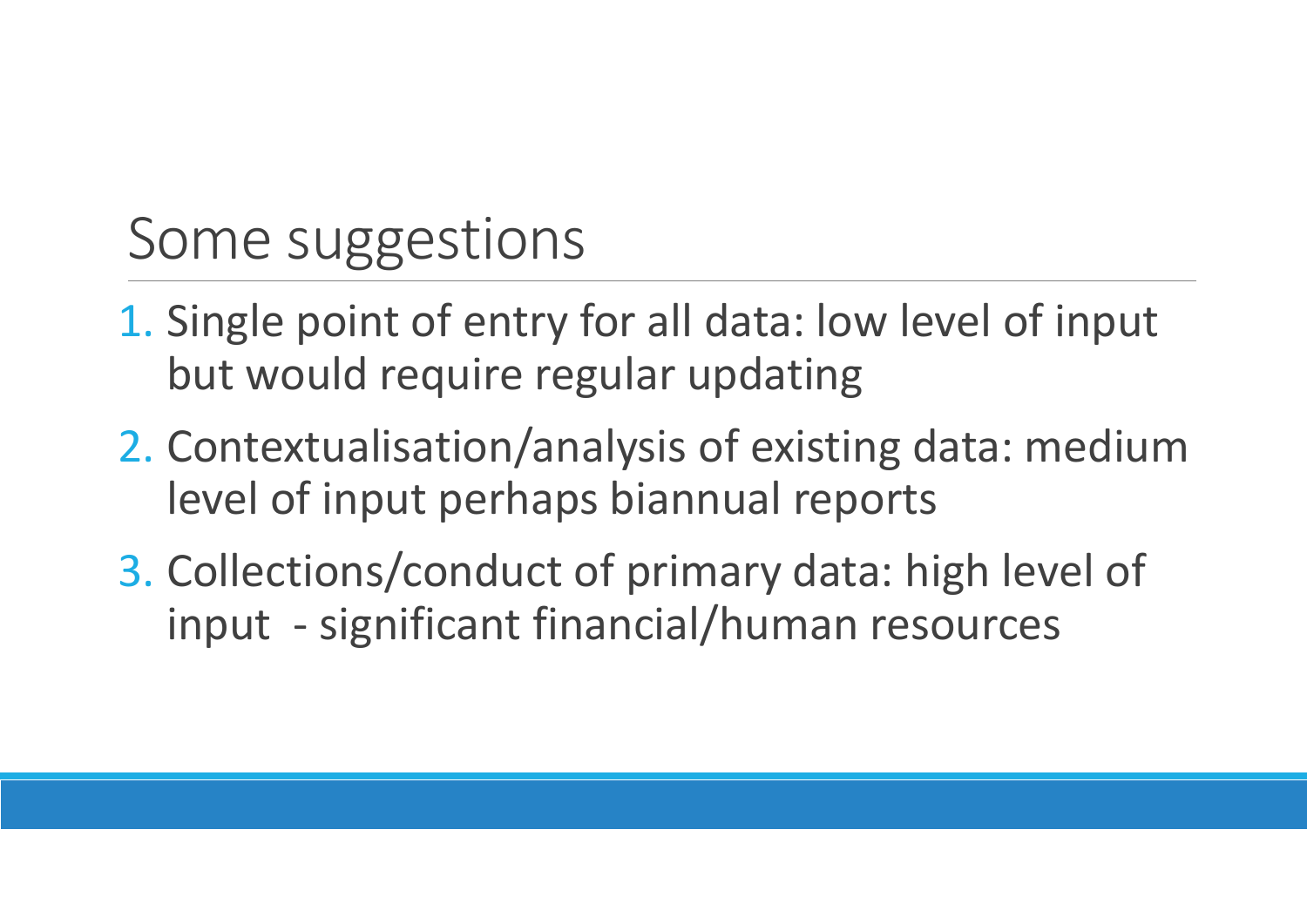## Some suggestions

- 1. Single point of entry for all data: low level of input but would require regular updating
- 2. Contextualisation/analysis of existing data: medium level of input perhaps biannual reports
- 3. Collections/conduct of primary data: high level of input ‐ significant financial/human resources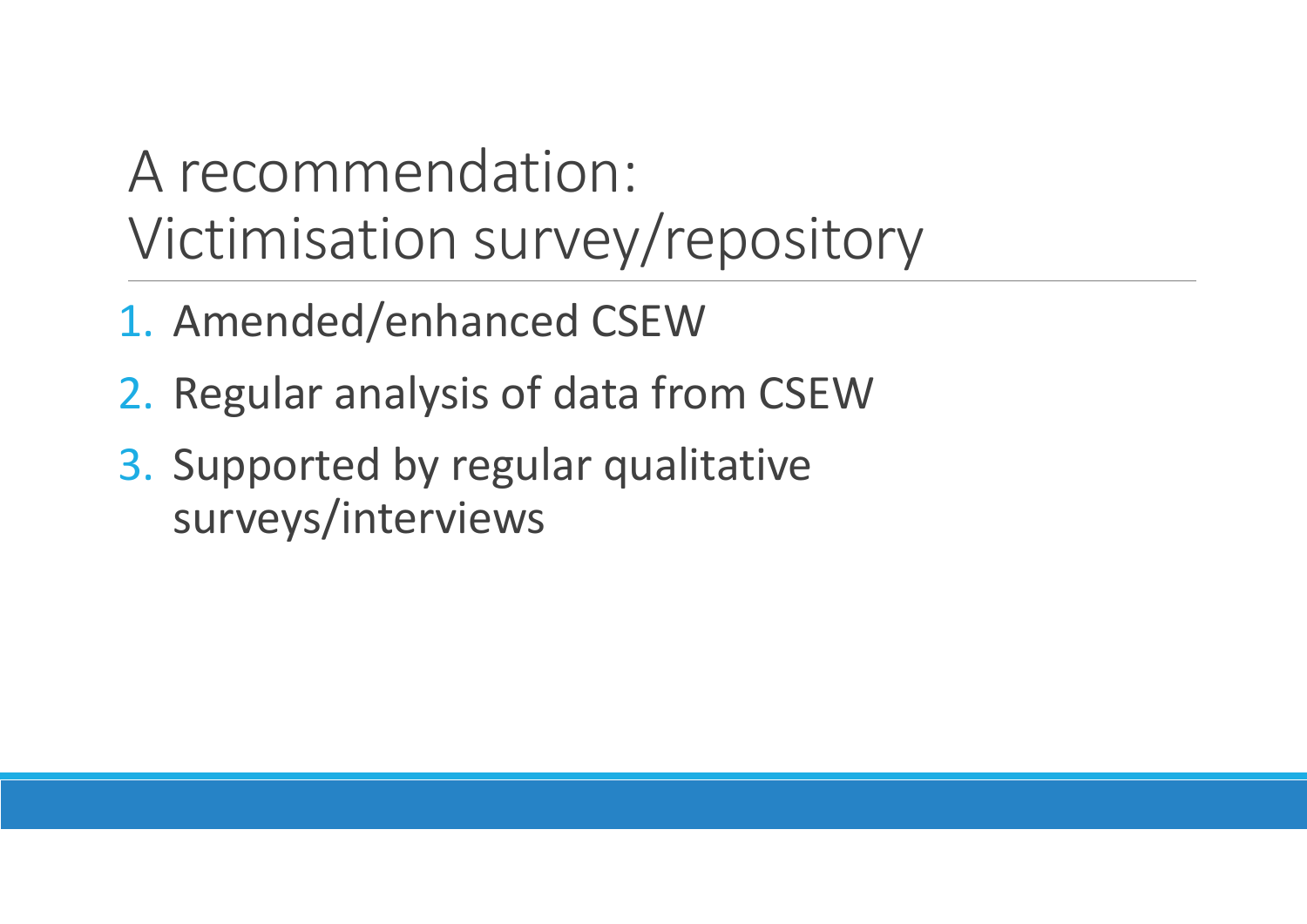## A recommendation: Victimisation survey/repository

- 1. Amended/enhanced CSEW
- 2. Regular analysis of data from CSEW
- 3. Supported by regular qualitative surveys/interviews